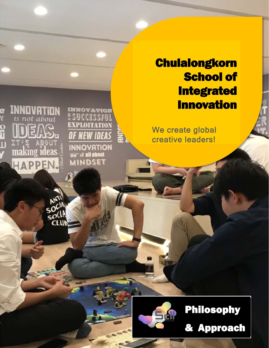# **Chulalongkorn** School of **Integrated** Innovation

We create global creative leaders!

the property of the contract of the con-

**INNOVATION** 

ESUCCESSFUI

**EXPLOITATION** 

OF NEW IDEAS

**INNOVATION** 

**EF& all about**<br>MINDSET

**QVATION** 

not about

making ideas

HAPPEN.

ANTI

 $50(1)$ **CLU** 

e<br>Y

 $\frac{0}{1}$ 



## Philosophy

1 & Approach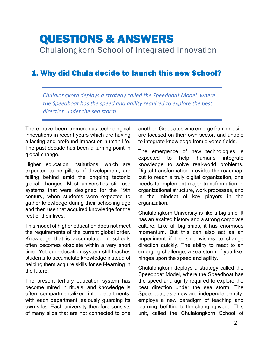### QUESTIONS & ANSWERS Chulalongkorn School of Integrated Innovation

### 1. Why did Chula decide to launch this new School?

*Chulalongkorn deploys a strategy called the Speedboat Model, where the Speedboat has the speed and agility required to explore the best direction under the sea storm.* 

There have been tremendous technological innovations in recent years which are having a lasting and profound impact on human life. The past decade has been a turning point in global change.

Higher education institutions, which are expected to be pillars of development, are falling behind amid the ongoing tectonic global changes. Most universities still use systems that were designed for the 19th century, when students were expected to gather knowledge during their schooling age and then use that acquired knowledge for the rest of their lives.

This model of higher education does not meet the requirements of the current global order. Knowledge that is accumulated in schools often becomes obsolete within a very short time. Yet our education system still teaches students to accumulate knowledge instead of helping them acquire skills for self-learning in the future.

The present tertiary education system has become mired in rituals, and knowledge is often compartmentalized into departments, with each department jealously quarding its own silos. Each university therefore consists of many silos that are not connected to one another. Graduates who emerge from one silo are focused on their own sector, and unable to integrate knowledge from diverse fields.

The emergence of new technologies is expected to help humans integrate knowledge to solve real-world problems. Digital transformation provides the roadmap; but to reach a truly digital organization, one needs to implement major transformation in organizational structure, work processes, and in the mindset of key players in the organization.

Chulalongkorn University is like a big ship. It has an exalted history and a strong corporate culture. Like all big ships, it has enormous momentum. But this can also act as an impediment if the ship wishes to change direction quickly. The ability to react to an emerging challenge, a sea storm, if you like, hinges upon the speed and agility.

Chulalongkorn deploys a strategy called the Speedboat Model, where the Speedboat has the speed and agility required to explore the best direction under the sea storm. The Speedboat, as a new and independent entity, employs a new paradigm of teaching and learning, befitting to the changing world. This unit, called the Chulalongkorn School of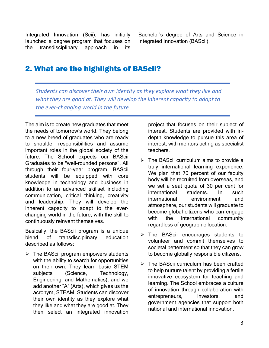Integrated Innovation (Scii), has initially launched a degree program that focuses on the transdisciplinary approach in its

Bachelor's degree of Arts and Science in Integrated Innovation (BAScii).

### 2. What are the highlights of BAScii?

*Students can discover their own identity as they explore what they like and what they are good at. They will develop the inherent capacity to adapt to the ever‐changing world in the future* 

The aim is to create new graduates that meet the needs of tomorrow's world. They belong to a new breed of graduates who are ready to shoulder responsibilities and assume important roles in the global society of the future. The School expects our BAScii Graduates to be "well-rounded persons". All through their four-year program, BAScii students will be equipped with core knowledge in technology and business in addition to an advanced skillset including communication, critical thinking, creativity and leadership. They will develop the inherent capacity to adapt to the everchanging world in the future, with the skill to continuously reinvent themselves.

Basically, the BAScii program is a unique blend of transdisciplinary education described as follows:

 $\triangleright$  The BAScii program empowers students with the ability to search for opportunities on their own. They learn basic STEM subjects (Science, Technology, Engineering, and Mathematics), and we add another "A" (Arts), which gives us the acronym, STEAM. Students can discover their own identity as they explore what they like and what they are good at. They then select an integrated innovation

project that focuses on their subject of interest. Students are provided with indepth knowledge to pursue this area of interest, with mentors acting as specialist teachers.

- $\triangleright$  The BAScii curriculum aims to provide a truly international learning experience. We plan that 70 percent of our faculty body will be recruited from overseas, and we set a seat quota of 30 per cent for international students. In such international environment and atmosphere, our students will graduate to become global citizens who can engage with the international community regardless of geographic location.
- > The BAScii encourages students to volunteer and commit themselves to societal betterment so that they can grow to become globally responsible citizens.
- $\triangleright$  The BAScii curriculum has been crafted to help nurture talent by providing a fertile innovative ecosystem for teaching and learning. The School embraces a culture of innovation through collaboration with entrepreneurs, investors, and government agencies that support both national and international innovation.